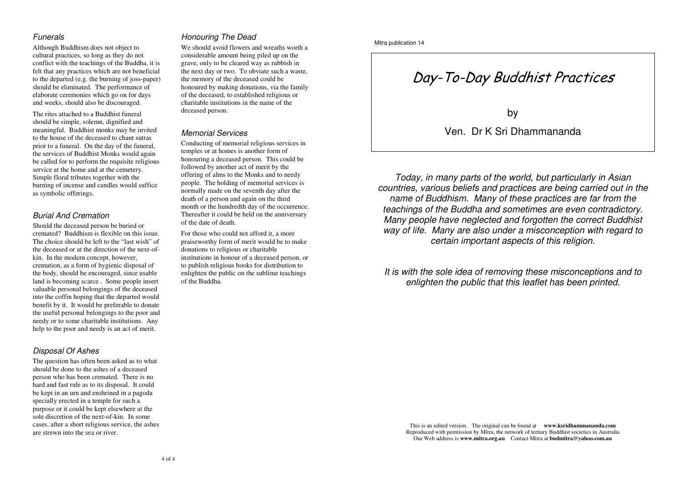#### *Funerals*

Although Buddhism does not object to cultural practices, so long as they do not conflict with the teachings of the Buddha, it is felt that any practices which are not beneficial to the departed (e.g. the burning of joss-paper) should be eliminated. The performance of elaborate ceremonies which go on for days and weeks, should also be discouraged.

The rites attached to <sup>a</sup> Buddhist funeral should be simple, solemn, dignified and meaningful. Buddhist monks may be invited to the house of the deceased to chant sutras prior to <sup>a</sup> funeral. On the day of the funeral, the services of Buddhist Monks would again be called for to perform the requisite religious service at the home and at the cemetery. Simple floral tributes together with the burning of incense and candles would suffice as symbolic offerings.

#### *Burial And Cremation*

Should the deceased person be buried or cremated? Buddhism is flexible on this issue. The choice should be left to the "last wish" of the deceased or at the direction of the next-ofkin. In the modern concept, however, cremation, as <sup>a</sup> form of hygienic disposal of the body, should be encouraged, since usable land is becoming scarce . Some people insert valuable personal belongings of the deceased into the coffin hoping that the departed would benefit by it. It would be preferable to donate the useful personal belongings to the poor and needy or to some charitable institutions. Any help to the poor and needy is an act of merit.

#### *Disposal Of Ashes*

The question has often been asked as to what should be done to the ashes of <sup>a</sup> deceased person who has been cremated. There is no hard and fast rule as to its disposal. It could be kept in an urn and enshrined in <sup>a</sup> pagoda specially erected in <sup>a</sup> temple for such <sup>a</sup> purpose or it could be kept elsewhere at the sole discretion of the next-of-kin. In some cases, after <sup>a</sup> short religious service, the ashes are strewn into the sea or river.

### *Honouring The Dead*

We should avoid flowers and wreaths worth <sup>a</sup> considerable amount being piled up on the grave, only to be cleared way as rubbish in the next day or two. To obviate such <sup>a</sup> waste, the memory of the deceased could be honoured by making donations, via the family of the deceased, to established religious or charitable institutions in the name of the deceased person.

#### *Memorial Services*

Conducting of memorial religious services in temples or at homes is another form of honouring <sup>a</sup> deceased person. This could be followed by another act of merit by the offering of alms to the Monks and to needy people. The holding of memorial services is normally made on the seventh day after the death of <sup>a</sup> person and again on the third month or the hundredth day of the occurrence. Thereafter it could be held on the anniversary of the date of death.

For those who could not afford it, <sup>a</sup> more praiseworthy form of merit would be to make donations to religious or charitable institutions in honour of <sup>a</sup> deceased person, or to publish religious books for distribution to enlighten the public on the sublime teachings of the Buddha.

# Day-To-Day Buddhist Practices

by

Ven. Dr K Sri Dhammananda

*Today, in many parts of the world, but particularly in Asian countries, various beliefs and practices are being carried out in the name of Buddhism. Many of these practices are far from the teachings of the Buddha and sometimes are even contradictory. Many people have neglected and forgotten the correct Buddhist way of life. Many are also under <sup>a</sup> misconception with regard to certain important aspects of this religion.*

*It is with the sole idea of removing these misconceptions and to enlighten the public that this leaflet has been printed.*

This is an edited version. The original can be found at **www.ksridhammananda.com** Reproduced with permission by Mitra, the network of tertiary Buddhist societies in Australia Our Web address is **www.mitra.org.au** Contact Mitra at **budmitra@yahoo.com.au**